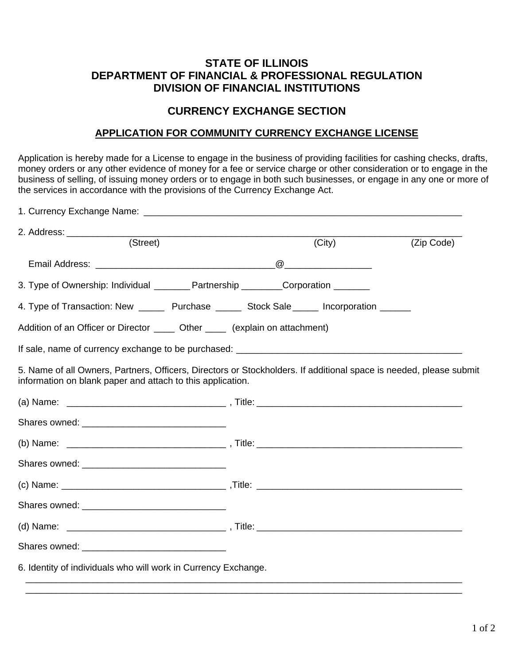## **STATE OF ILLINOIS DEPARTMENT OF FINANCIAL & PROFESSIONAL REGULATION DIVISION OF FINANCIAL INSTITUTIONS**

## **CURRENCY EXCHANGE SECTION**

## **APPLICATION FOR COMMUNITY CURRENCY EXCHANGE LICENSE**

Application is hereby made for a License to engage in the business of providing facilities for cashing checks, drafts, money orders or any other evidence of money for a fee or service charge or other consideration or to engage in the business of selling, of issuing money orders or to engage in both such businesses, or engage in any one or more of the services in accordance with the provisions of the Currency Exchange Act.

| $\overline{\text{(Street)}}$                                                                                                                                                     | (City) | (Zip Code) |  |
|----------------------------------------------------------------------------------------------------------------------------------------------------------------------------------|--------|------------|--|
|                                                                                                                                                                                  |        |            |  |
| 3. Type of Ownership: Individual _________ Partnership _________Corporation ________                                                                                             |        |            |  |
| 4. Type of Transaction: New ________ Purchase _______ Stock Sale ______ Incorporation _______                                                                                    |        |            |  |
| Addition of an Officer or Director _______ Other ______ (explain on attachment)                                                                                                  |        |            |  |
|                                                                                                                                                                                  |        |            |  |
| 5. Name of all Owners, Partners, Officers, Directors or Stockholders. If additional space is needed, please submit<br>information on blank paper and attach to this application. |        |            |  |
|                                                                                                                                                                                  |        |            |  |
|                                                                                                                                                                                  |        |            |  |
|                                                                                                                                                                                  |        |            |  |
|                                                                                                                                                                                  |        |            |  |
|                                                                                                                                                                                  |        |            |  |
|                                                                                                                                                                                  |        |            |  |
|                                                                                                                                                                                  |        |            |  |
|                                                                                                                                                                                  |        |            |  |
| 6. Identity of individuals who will work in Currency Exchange.                                                                                                                   |        |            |  |

 $\overline{\phantom{a}}$  , and the contribution of the contribution of the contribution of the contribution of the contribution of the contribution of the contribution of the contribution of the contribution of the contribution of the